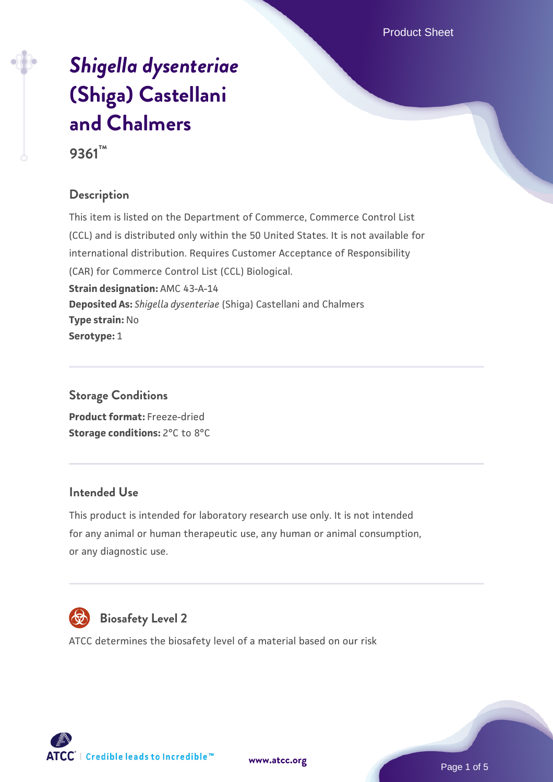Product Sheet

# *[Shigella dysenteriae](https://www.atcc.org/products/9361)* **[\(Shiga\) Castellani](https://www.atcc.org/products/9361) [and Chalmers](https://www.atcc.org/products/9361)**

**9361™**

# **Description**

This item is listed on the Department of Commerce, Commerce Control List (CCL) and is distributed only within the 50 United States. It is not available for international distribution. Requires Customer Acceptance of Responsibility (CAR) for Commerce Control List (CCL) Biological. **Strain designation:** AMC 43-A-14 **Deposited As:** *Shigella dysenteriae* (Shiga) Castellani and Chalmers **Type strain:** No **Serotype:** 1

# **Storage Conditions**

**Product format:** Freeze-dried **Storage conditions:** 2°C to 8°C

#### **Intended Use**

This product is intended for laboratory research use only. It is not intended for any animal or human therapeutic use, any human or animal consumption, or any diagnostic use.



# **Biosafety Level 2**

ATCC determines the biosafety level of a material based on our risk



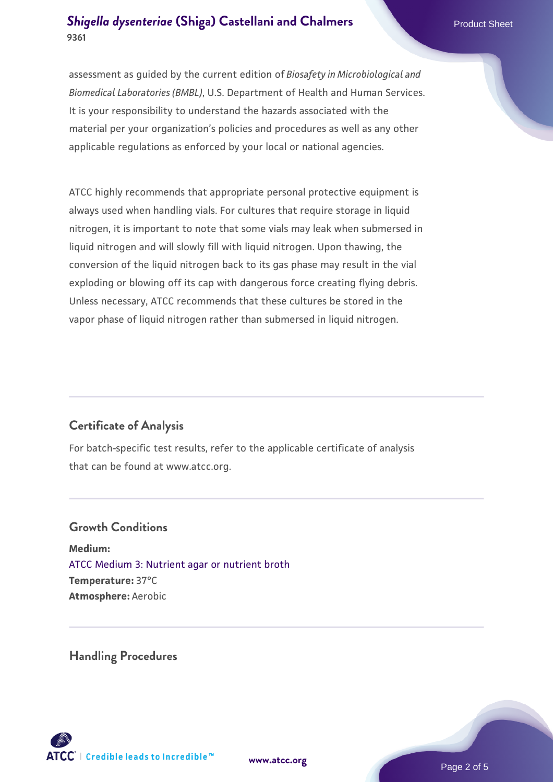assessment as guided by the current edition of *Biosafety in Microbiological and Biomedical Laboratories (BMBL)*, U.S. Department of Health and Human Services. It is your responsibility to understand the hazards associated with the material per your organization's policies and procedures as well as any other applicable regulations as enforced by your local or national agencies.

ATCC highly recommends that appropriate personal protective equipment is always used when handling vials. For cultures that require storage in liquid nitrogen, it is important to note that some vials may leak when submersed in liquid nitrogen and will slowly fill with liquid nitrogen. Upon thawing, the conversion of the liquid nitrogen back to its gas phase may result in the vial exploding or blowing off its cap with dangerous force creating flying debris. Unless necessary, ATCC recommends that these cultures be stored in the vapor phase of liquid nitrogen rather than submersed in liquid nitrogen.

# **Certificate of Analysis**

For batch-specific test results, refer to the applicable certificate of analysis that can be found at www.atcc.org.

#### **Growth Conditions**

**Medium:**  [ATCC Medium 3: Nutrient agar or nutrient broth](https://www.atcc.org/-/media/product-assets/documents/microbial-media-formulations/3/atcc-medium-3.pdf?rev=7510837507e64d849c62a46b5b2197a1) **Temperature:** 37°C **Atmosphere:** Aerobic

**Handling Procedures**



**[www.atcc.org](http://www.atcc.org)**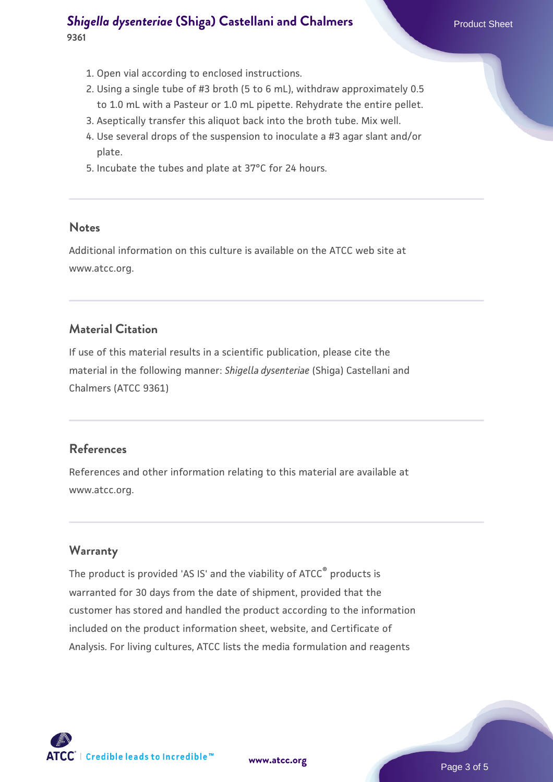- 1. Open vial according to enclosed instructions.
- 2. Using a single tube of #3 broth (5 to 6 mL), withdraw approximately 0.5 to 1.0 mL with a Pasteur or 1.0 mL pipette. Rehydrate the entire pellet.
- 3. Aseptically transfer this aliquot back into the broth tube. Mix well.
- Use several drops of the suspension to inoculate a #3 agar slant and/or 4. plate.
- 5. Incubate the tubes and plate at 37°C for 24 hours.

#### **Notes**

Additional information on this culture is available on the ATCC web site at www.atcc.org.

#### **Material Citation**

If use of this material results in a scientific publication, please cite the material in the following manner: *Shigella dysenteriae* (Shiga) Castellani and Chalmers (ATCC 9361)

#### **References**

References and other information relating to this material are available at www.atcc.org.

# **Warranty**

The product is provided 'AS IS' and the viability of ATCC® products is warranted for 30 days from the date of shipment, provided that the customer has stored and handled the product according to the information included on the product information sheet, website, and Certificate of Analysis. For living cultures, ATCC lists the media formulation and reagents

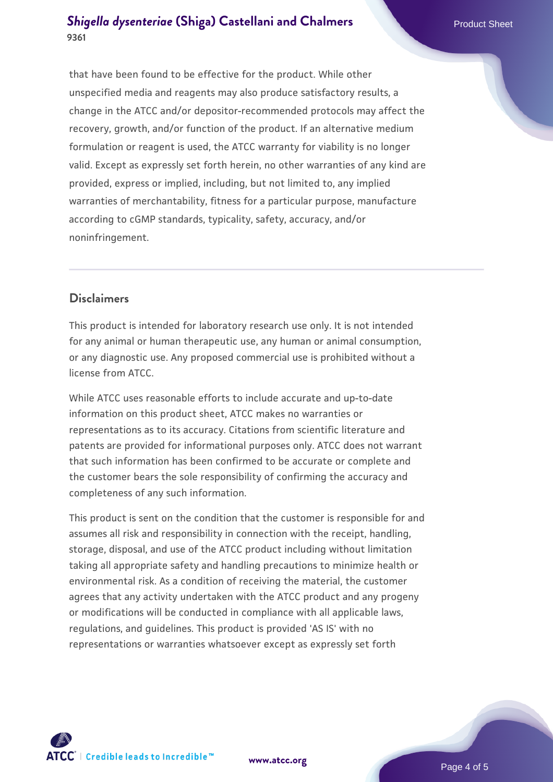that have been found to be effective for the product. While other unspecified media and reagents may also produce satisfactory results, a change in the ATCC and/or depositor-recommended protocols may affect the recovery, growth, and/or function of the product. If an alternative medium formulation or reagent is used, the ATCC warranty for viability is no longer valid. Except as expressly set forth herein, no other warranties of any kind are provided, express or implied, including, but not limited to, any implied warranties of merchantability, fitness for a particular purpose, manufacture according to cGMP standards, typicality, safety, accuracy, and/or noninfringement.

# **Disclaimers**

This product is intended for laboratory research use only. It is not intended for any animal or human therapeutic use, any human or animal consumption, or any diagnostic use. Any proposed commercial use is prohibited without a license from ATCC.

While ATCC uses reasonable efforts to include accurate and up-to-date information on this product sheet, ATCC makes no warranties or representations as to its accuracy. Citations from scientific literature and patents are provided for informational purposes only. ATCC does not warrant that such information has been confirmed to be accurate or complete and the customer bears the sole responsibility of confirming the accuracy and completeness of any such information.

This product is sent on the condition that the customer is responsible for and assumes all risk and responsibility in connection with the receipt, handling, storage, disposal, and use of the ATCC product including without limitation taking all appropriate safety and handling precautions to minimize health or environmental risk. As a condition of receiving the material, the customer agrees that any activity undertaken with the ATCC product and any progeny or modifications will be conducted in compliance with all applicable laws, regulations, and guidelines. This product is provided 'AS IS' with no representations or warranties whatsoever except as expressly set forth



**[www.atcc.org](http://www.atcc.org)**

Page 4 of 5